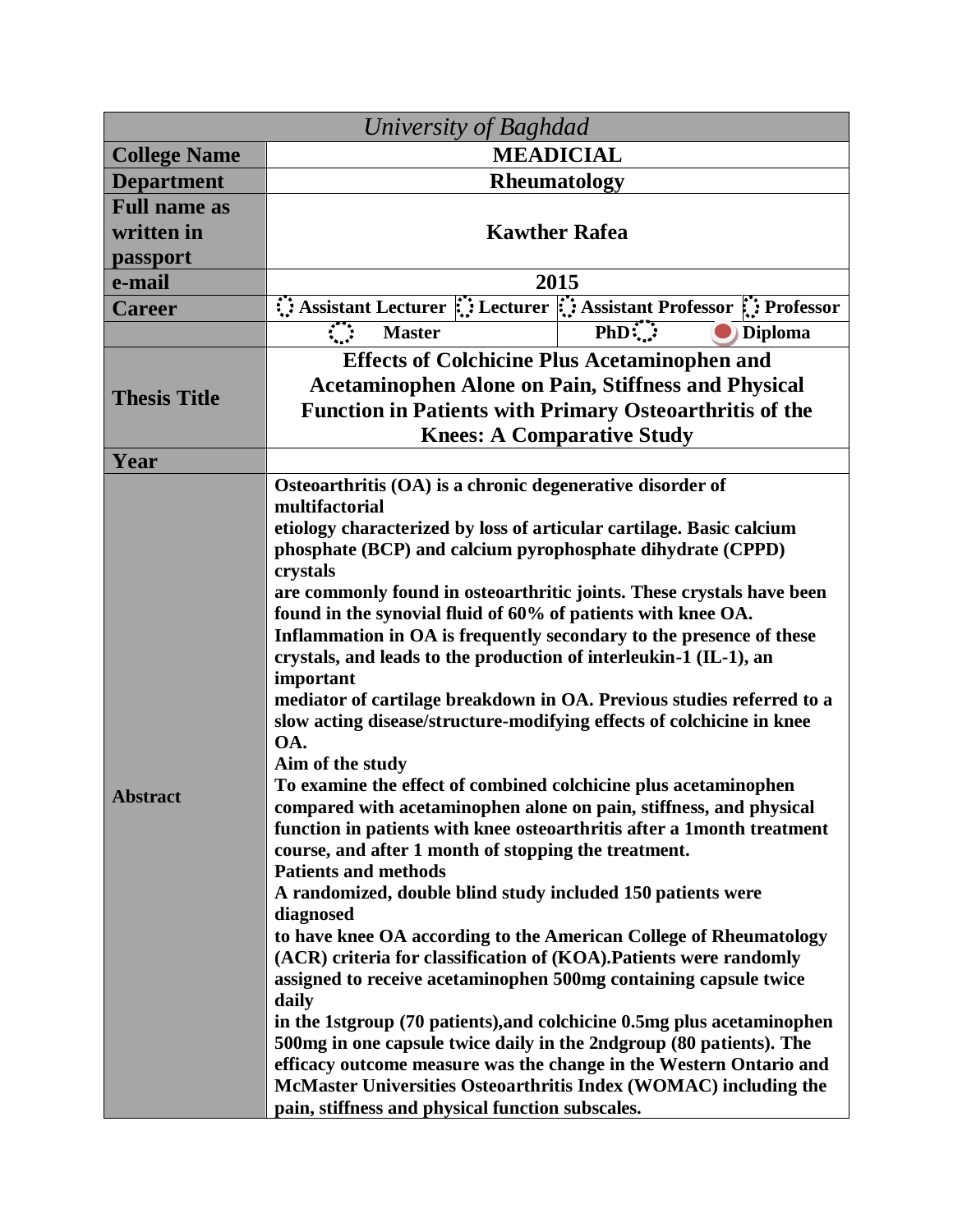| University of Baghdad |                                                                                                                                               |                           |  |
|-----------------------|-----------------------------------------------------------------------------------------------------------------------------------------------|---------------------------|--|
| <b>College Name</b>   | <b>MEADICIAL</b>                                                                                                                              |                           |  |
| <b>Department</b>     | Rheumatology                                                                                                                                  |                           |  |
| <b>Full name as</b>   |                                                                                                                                               |                           |  |
| written in            | <b>Kawther Rafea</b>                                                                                                                          |                           |  |
| passport              |                                                                                                                                               |                           |  |
| e-mail                | 2015                                                                                                                                          |                           |  |
| <b>Career</b>         | Assistant Lecturer :: Lecturer :: Assistant Professor :: Professor                                                                            |                           |  |
|                       | <u>र प्र</u><br><b>Master</b>                                                                                                                 | $PhD$ :<br><b>Diploma</b> |  |
| <b>Thesis Title</b>   | <b>Effects of Colchicine Plus Acetaminophen and</b>                                                                                           |                           |  |
|                       | <b>Acetaminophen Alone on Pain, Stiffness and Physical</b>                                                                                    |                           |  |
|                       | <b>Function in Patients with Primary Osteoarthritis of the</b>                                                                                |                           |  |
|                       | <b>Knees: A Comparative Study</b>                                                                                                             |                           |  |
| Year                  |                                                                                                                                               |                           |  |
| <b>Abstract</b>       | Osteoarthritis (OA) is a chronic degenerative disorder of<br>multifactorial                                                                   |                           |  |
|                       | etiology characterized by loss of articular cartilage. Basic calcium                                                                          |                           |  |
|                       | phosphate (BCP) and calcium pyrophosphate dihydrate (CPPD)                                                                                    |                           |  |
|                       | crystals                                                                                                                                      |                           |  |
|                       | are commonly found in osteoarthritic joints. These crystals have been                                                                         |                           |  |
|                       | found in the synovial fluid of 60% of patients with knee OA.<br>Inflammation in OA is frequently secondary to the presence of these           |                           |  |
|                       | crystals, and leads to the production of interleukin-1 (IL-1), an                                                                             |                           |  |
|                       | important                                                                                                                                     |                           |  |
|                       | mediator of cartilage breakdown in OA. Previous studies referred to a                                                                         |                           |  |
|                       | slow acting disease/structure-modifying effects of colchicine in knee                                                                         |                           |  |
|                       | OA.<br>Aim of the study                                                                                                                       |                           |  |
|                       | To examine the effect of combined colchicine plus acetaminophen                                                                               |                           |  |
|                       | compared with acetaminophen alone on pain, stiffness, and physical                                                                            |                           |  |
|                       | function in patients with knee osteoarthritis after a 1month treatment                                                                        |                           |  |
|                       | course, and after 1 month of stopping the treatment.                                                                                          |                           |  |
|                       | <b>Patients and methods</b><br>A randomized, double blind study included 150 patients were                                                    |                           |  |
|                       | diagnosed                                                                                                                                     |                           |  |
|                       | to have knee OA according to the American College of Rheumatology                                                                             |                           |  |
|                       | (ACR) criteria for classification of (KOA). Patients were randomly                                                                            |                           |  |
|                       | assigned to receive acetaminophen 500mg containing capsule twice                                                                              |                           |  |
|                       | daily                                                                                                                                         |                           |  |
|                       | in the 1stgroup (70 patients), and colchicine 0.5mg plus acetaminophen<br>500mg in one capsule twice daily in the 2ndgroup (80 patients). The |                           |  |
|                       | efficacy outcome measure was the change in the Western Ontario and                                                                            |                           |  |
|                       | McMaster Universities Osteoarthritis Index (WOMAC) including the                                                                              |                           |  |
|                       | pain, stiffness and physical function subscales.                                                                                              |                           |  |